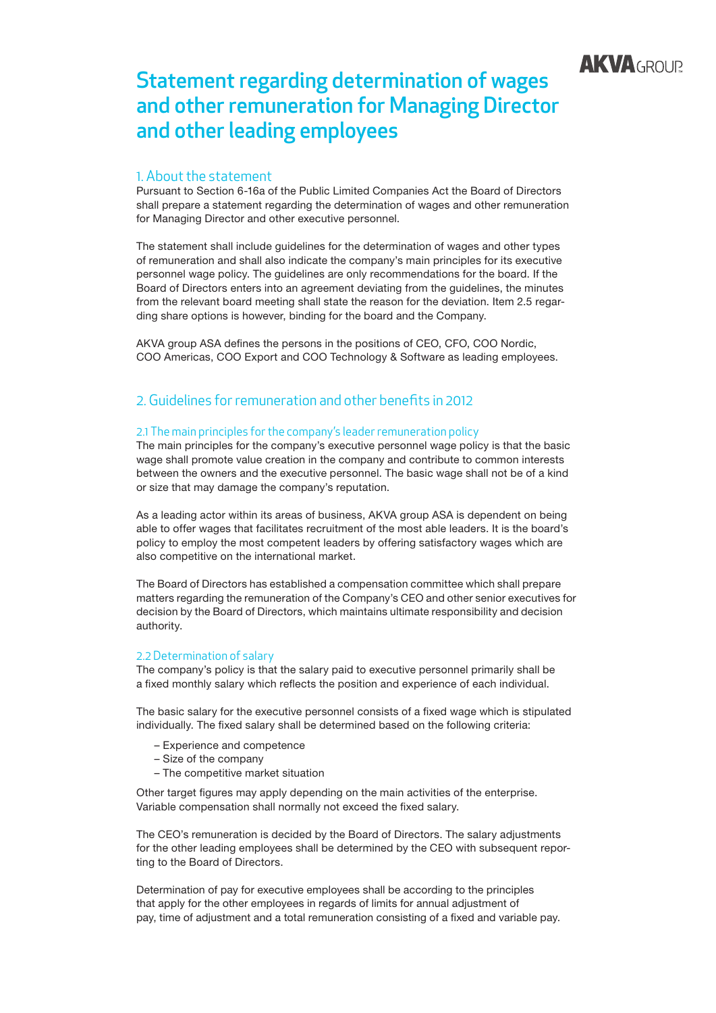

# Statement regarding determination of wages and other remuneration for Managing Director and other leading employees

# 1. About the statement

Pursuant to Section 6-16a of the Public Limited Companies Act the Board of Directors shall prepare a statement regarding the determination of wages and other remuneration for Managing Director and other executive personnel.

The statement shall include guidelines for the determination of wages and other types of remuneration and shall also indicate the company's main principles for its executive personnel wage policy. The guidelines are only recommendations for the board. If the Board of Directors enters into an agreement deviating from the guidelines, the minutes from the relevant board meeting shall state the reason for the deviation. Item 2.5 regarding share options is however, binding for the board and the Company.

AKVA group ASA defines the persons in the positions of CEO, CFO, COO Nordic, COO Americas, COO Export and COO Technology & Software as leading employees.

# 2. Guidelines for remuneration and other benefits in 2012

## 2.1 The main principles for the company's leader remuneration policy

The main principles for the company's executive personnel wage policy is that the basic wage shall promote value creation in the company and contribute to common interests between the owners and the executive personnel. The basic wage shall not be of a kind or size that may damage the company's reputation.

As a leading actor within its areas of business, AKVA group ASA is dependent on being able to offer wages that facilitates recruitment of the most able leaders. It is the board's policy to employ the most competent leaders by offering satisfactory wages which are also competitive on the international market.

The Board of Directors has established a compensation committee which shall prepare matters regarding the remuneration of the Company's CEO and other senior executives for decision by the Board of Directors, which maintains ultimate responsibility and decision authority.

### 2.2 Determination of salary

The company's policy is that the salary paid to executive personnel primarily shall be a fixed monthly salary which reflects the position and experience of each individual.

The basic salary for the executive personnel consists of a fixed wage which is stipulated individually. The fixed salary shall be determined based on the following criteria:

- Experience and competence
- Size of the company
- The competitive market situation

Other target figures may apply depending on the main activities of the enterprise. Variable compensation shall normally not exceed the fixed salary.

The CEO's remuneration is decided by the Board of Directors. The salary adjustments for the other leading employees shall be determined by the CEO with subsequent reporting to the Board of Directors.

Determination of pay for executive employees shall be according to the principles that apply for the other employees in regards of limits for annual adjustment of pay, time of adjustment and a total remuneration consisting of a fixed and variable pay.